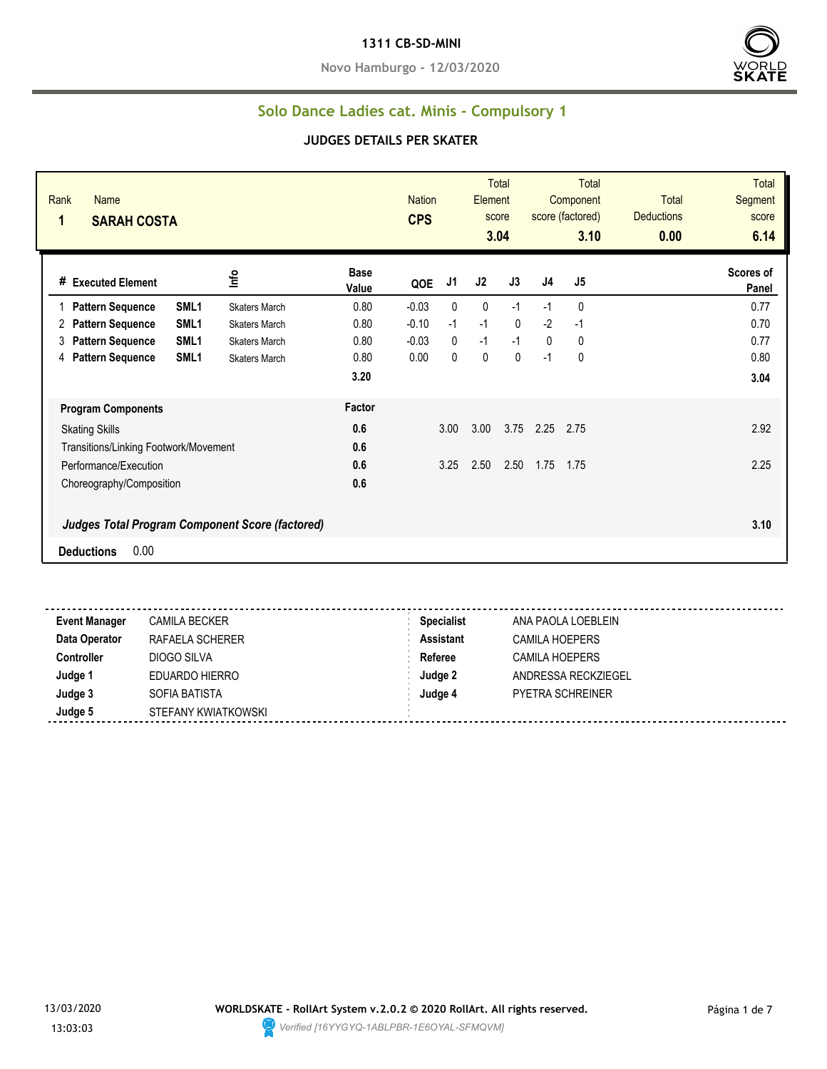**Novo Hamburgo - 12/03/2020**



#### **Solo Dance Ladies cat. Minis - Compulsory 1**

#### **JUDGES DETAILS PER SKATER**

| Rank<br><b>Name</b><br>1<br><b>SARAH COSTA</b>  |                  |                      |                      | <b>Nation</b><br><b>CPS</b> |              | Element        | <b>Total</b><br>score<br>3.04 |              | <b>Total</b><br>Component<br>score (factored)<br>3.10 | <b>Total</b><br><b>Deductions</b><br>0.00 | <b>Total</b><br>Segment<br>score<br>6.14 |
|-------------------------------------------------|------------------|----------------------|----------------------|-----------------------------|--------------|----------------|-------------------------------|--------------|-------------------------------------------------------|-------------------------------------------|------------------------------------------|
| # Executed Element                              |                  | Info                 | <b>Base</b><br>Value | QOE                         | J1           | J <sub>2</sub> | J3                            | J4           | J5                                                    |                                           | Scores of<br>Panel                       |
| <b>Pattern Sequence</b>                         | SML <sub>1</sub> | <b>Skaters March</b> | 0.80                 | $-0.03$                     | $\mathbf{0}$ | 0              | $-1$                          | $-1$         | 0                                                     |                                           | 0.77                                     |
| <b>Pattern Sequence</b><br>2                    | SML <sub>1</sub> | <b>Skaters March</b> | 0.80                 | $-0.10$                     | $-1$         | $-1$           | $\mathbf{0}$                  | $-2$         | $-1$                                                  |                                           | 0.70                                     |
| <b>Pattern Sequence</b><br>3                    | SML <sub>1</sub> | <b>Skaters March</b> | 0.80                 | $-0.03$                     | $\mathbf{0}$ | $-1$           | $-1$                          | $\mathbf{0}$ | 0                                                     |                                           | 0.77                                     |
| <b>Pattern Sequence</b><br>4                    | SML <sub>1</sub> | <b>Skaters March</b> | 0.80                 | 0.00                        | $\Omega$     | $\mathbf{0}$   | $\mathbf{0}$                  | $-1$         | 0                                                     |                                           | 0.80                                     |
|                                                 |                  |                      | 3.20                 |                             |              |                |                               |              |                                                       |                                           | 3.04                                     |
| <b>Program Components</b>                       |                  |                      | Factor               |                             |              |                |                               |              |                                                       |                                           |                                          |
| <b>Skating Skills</b>                           |                  |                      | 0.6                  |                             | 3.00         | 3.00           | 3.75                          | 2.25         | 2.75                                                  |                                           | 2.92                                     |
| Transitions/Linking Footwork/Movement           |                  |                      | 0.6                  |                             |              |                |                               |              |                                                       |                                           |                                          |
| Performance/Execution                           |                  |                      | 0.6                  |                             | 3.25         | 2.50           | 2.50                          | 1.75         | 1.75                                                  |                                           | 2.25                                     |
| Choreography/Composition                        |                  |                      | 0.6                  |                             |              |                |                               |              |                                                       |                                           |                                          |
| Judges Total Program Component Score (factored) |                  |                      |                      |                             |              |                |                               |              |                                                       |                                           | 3.10                                     |
| 0.00<br><b>Deductions</b>                       |                  |                      |                      |                             |              |                |                               |              |                                                       |                                           |                                          |

**Event Manager** CAMILA BECKER **Specialist** ANA PAOLA LOEBLEIN **Data Operator** RAFAELA SCHERER **Assistant** CAMILA HOEPERS **Controller** DIOGO SILVA **Referee** CAMILA HOEPERS **Judge 1** EDUARDO HIERRO **Judge 2** ANDRESSA RECKZIEGEL **Judge 3** SOFIA BATISTA **Judge 4** PYETRA SCHREINER **Judge 5** STEFANY KWIATKOWSKI

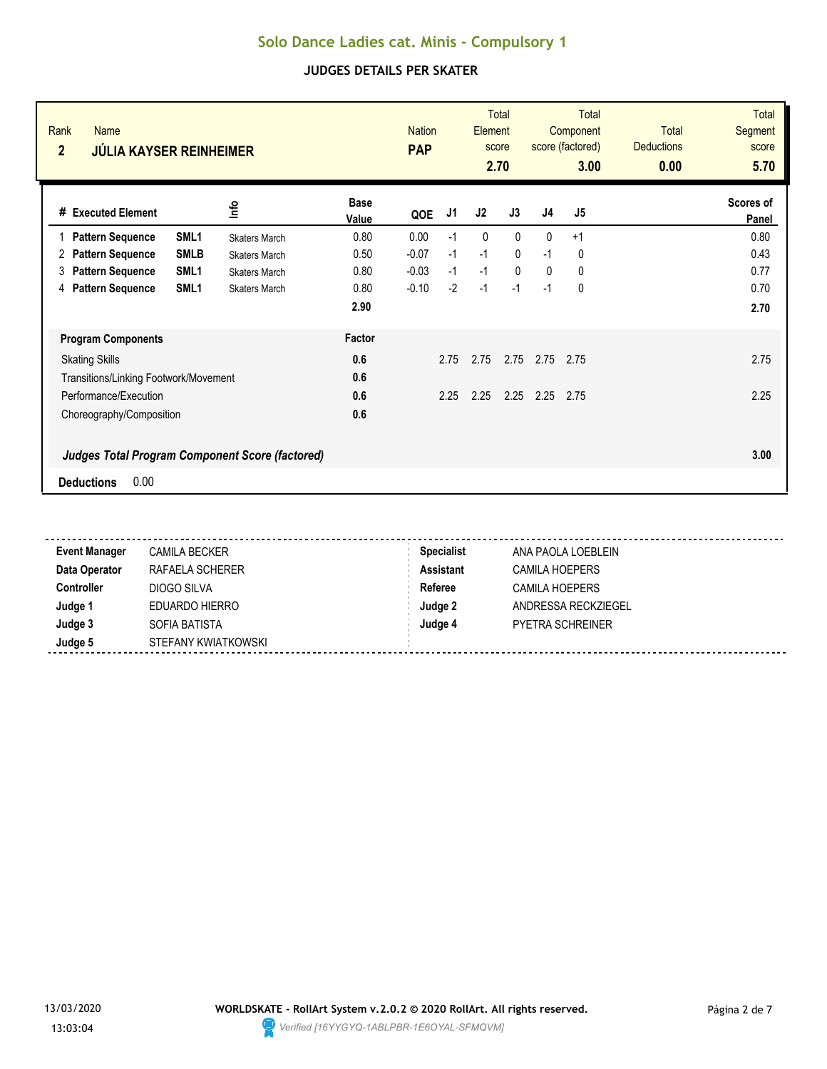| Rank<br><b>Name</b><br>$\overline{2}$<br><b>JÚLIA KAYSER REINHEIMER</b> |                      |                      | <b>Nation</b><br><b>PAP</b> |      | Element | <b>Total</b><br>score<br>2.70 |                | <b>Total</b><br>Component<br>score (factored)<br>3.00 | <b>Total</b><br><b>Deductions</b><br>0.00 | <b>Total</b><br><b>Segment</b><br>score<br>5.70 |
|-------------------------------------------------------------------------|----------------------|----------------------|-----------------------------|------|---------|-------------------------------|----------------|-------------------------------------------------------|-------------------------------------------|-------------------------------------------------|
| #<br><b>Executed Element</b>                                            | lnfo                 | <b>Base</b><br>Value | QOE                         | J1   | J2      | J3                            | J <sub>4</sub> | J5                                                    |                                           | Scores of<br>Panel                              |
| SML <sub>1</sub><br><b>Pattern Sequence</b>                             | <b>Skaters March</b> | 0.80                 | 0.00                        | $-1$ | 0       | $\mathbf{0}$                  | $\mathbf{0}$   | $+1$                                                  |                                           | 0.80                                            |
| <b>SMLB</b><br><b>Pattern Sequence</b><br>2                             | <b>Skaters March</b> | 0.50                 | $-0.07$                     | $-1$ | $-1$    | $\mathbf{0}$                  | $-1$           | 0                                                     |                                           | 0.43                                            |
| <b>Pattern Sequence</b><br>SML <sub>1</sub><br>3                        | <b>Skaters March</b> | 0.80                 | $-0.03$                     | $-1$ | $-1$    | $\mathbf{0}$                  | $\mathbf{0}$   | 0                                                     |                                           | 0.77                                            |
| <b>Pattern Sequence</b><br>SML <sub>1</sub><br>4                        | <b>Skaters March</b> | 0.80                 | $-0.10$                     | $-2$ | $-1$    | $-1$                          | $-1$           | 0                                                     |                                           | 0.70                                            |
|                                                                         |                      | 2.90                 |                             |      |         |                               |                |                                                       |                                           | 2.70                                            |
| <b>Program Components</b>                                               |                      | Factor               |                             |      |         |                               |                |                                                       |                                           |                                                 |
| <b>Skating Skills</b>                                                   |                      | 0.6                  |                             | 2.75 | 2.75    | 2.75                          | 2.75           | 2.75                                                  |                                           | 2.75                                            |
| Transitions/Linking Footwork/Movement                                   |                      | 0.6                  |                             |      |         |                               |                |                                                       |                                           |                                                 |
| Performance/Execution                                                   |                      | 0.6                  |                             | 2.25 | 2.25    | 2.25                          | 2.25           | 2.75                                                  |                                           | 2.25                                            |
| Choreography/Composition                                                |                      | 0.6                  |                             |      |         |                               |                |                                                       |                                           |                                                 |
| <b>Judges Total Program Component Score (factored)</b>                  |                      |                      |                             |      |         |                               |                |                                                       |                                           | 3.00                                            |
| 0.00<br><b>Deductions</b>                                               |                      |                      |                             |      |         |                               |                |                                                       |                                           |                                                 |

| <b>Event Manager</b> | CAMILA BECKER       | <b>Specialist</b> | ANA PAOLA LOEBLEIN      |
|----------------------|---------------------|-------------------|-------------------------|
| Data Operator        | RAFAELA SCHERER     | <b>Assistant</b>  | <b>CAMILA HOEPERS</b>   |
| <b>Controller</b>    | DIOGO SILVA         | Referee           | CAMILA HOEPERS          |
| Judge 1              | EDUARDO HIERRO      | Judge 2           | ANDRESSA RECKZIEGEL     |
| Judge 3              | SOFIA BATISTA       | Judge 4           | <b>PYETRA SCHREINER</b> |
| Judge 5              | STEFANY KWIATKOWSKI |                   |                         |

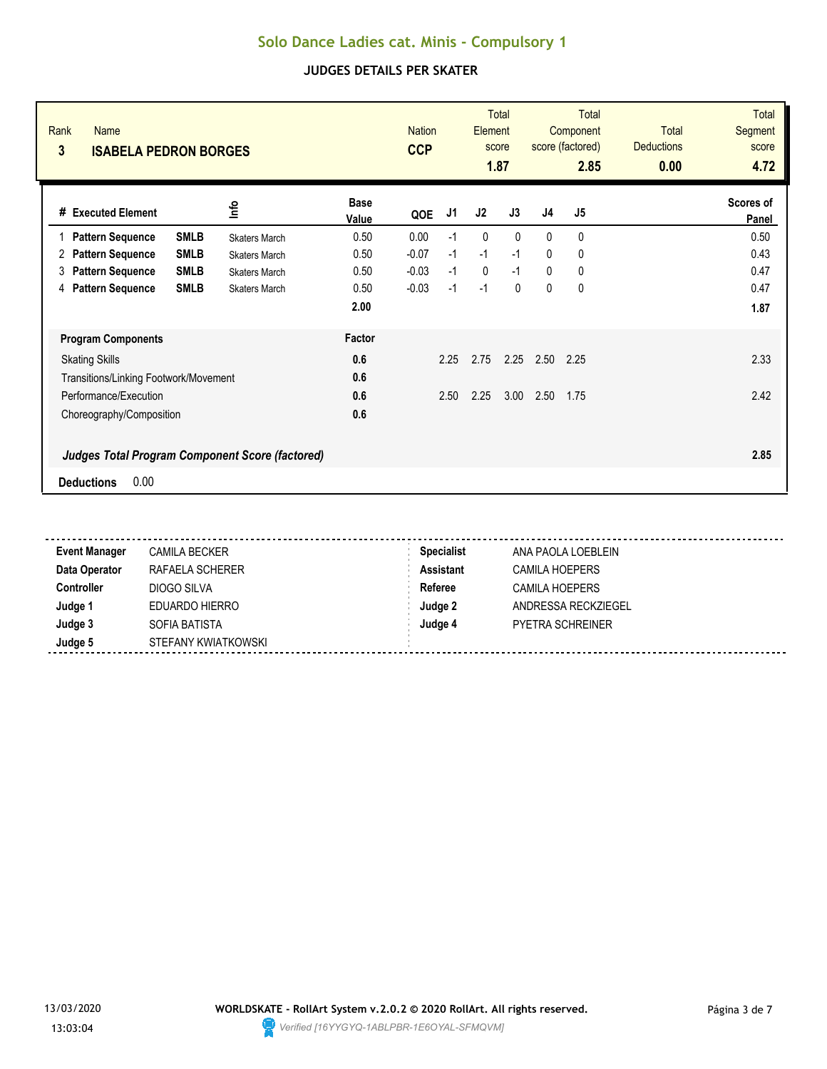| Rank<br><b>Name</b><br>3<br><b>ISABELA PEDRON BORGES</b> |                      |                      | <b>Nation</b><br><b>CCP</b> |      | <b>Element</b> | <b>Total</b><br>score<br>1.87 |                | <b>Total</b><br>Component<br>score (factored)<br>2.85 | <b>Total</b><br><b>Deductions</b><br>0.00 | <b>Total</b><br><b>Segment</b><br>score<br>4.72 |
|----------------------------------------------------------|----------------------|----------------------|-----------------------------|------|----------------|-------------------------------|----------------|-------------------------------------------------------|-------------------------------------------|-------------------------------------------------|
| #<br><b>Executed Element</b>                             | lnfo                 | <b>Base</b><br>Value | QOE                         | J1   | J2             | J3                            | J <sub>4</sub> | J5                                                    |                                           | Scores of<br>Panel                              |
| <b>SMLB</b><br><b>Pattern Sequence</b><br>1              | <b>Skaters March</b> | 0.50                 | 0.00                        | $-1$ | 0              | $\mathbf{0}$                  | $\mathbf{0}$   | 0                                                     |                                           | 0.50                                            |
| <b>SMLB</b><br><b>Pattern Sequence</b><br>2              | <b>Skaters March</b> | 0.50                 | $-0.07$                     | $-1$ | $-1$           | $-1$                          | $\mathbf{0}$   | 0                                                     |                                           | 0.43                                            |
| <b>SMLB</b><br><b>Pattern Sequence</b><br>3              | <b>Skaters March</b> | 0.50                 | $-0.03$                     | $-1$ | $\mathbf 0$    | $-1$                          | 0              | 0                                                     |                                           | 0.47                                            |
| <b>Pattern Sequence</b><br><b>SMLB</b><br>4              | <b>Skaters March</b> | 0.50                 | $-0.03$                     | $-1$ | $-1$           | $\mathbf{0}$                  | $\mathbf{0}$   | 0                                                     |                                           | 0.47                                            |
|                                                          |                      | 2.00                 |                             |      |                |                               |                |                                                       |                                           | 1.87                                            |
| <b>Program Components</b>                                |                      | Factor               |                             |      |                |                               |                |                                                       |                                           |                                                 |
| <b>Skating Skills</b>                                    |                      | 0.6                  |                             | 2.25 | 2.75           | 2.25                          | 2.50           | 2.25                                                  |                                           | 2.33                                            |
| Transitions/Linking Footwork/Movement                    |                      | 0.6                  |                             |      |                |                               |                |                                                       |                                           |                                                 |
| Performance/Execution                                    |                      | 0.6                  |                             | 2.50 | 2.25           | 3.00                          | 2.50           | 1.75                                                  |                                           | 2.42                                            |
| Choreography/Composition                                 |                      | 0.6                  |                             |      |                |                               |                |                                                       |                                           |                                                 |
| <b>Judges Total Program Component Score (factored)</b>   |                      |                      |                             |      |                |                               |                |                                                       |                                           | 2.85                                            |
| 0.00<br><b>Deductions</b>                                |                      |                      |                             |      |                |                               |                |                                                       |                                           |                                                 |

| <b>Event Manager</b> | <b>CAMILA BECKER</b> | <b>Specialist</b> | ANA PAOLA LOEBLEIN      |
|----------------------|----------------------|-------------------|-------------------------|
| Data Operator        | RAFAELA SCHERER      | <b>Assistant</b>  | <b>CAMILA HOEPERS</b>   |
| <b>Controller</b>    | DIOGO SILVA          | Referee           | <b>CAMILA HOEPERS</b>   |
| Judge 1              | EDUARDO HIERRO       | Judge 2           | ANDRESSA RECKZIEGEL     |
| Judge 3              | SOFIA BATISTA        | Judge 4           | <b>PYETRA SCHREINER</b> |
| Judge 5              | STEFANY KWIATKOWSKI  |                   |                         |

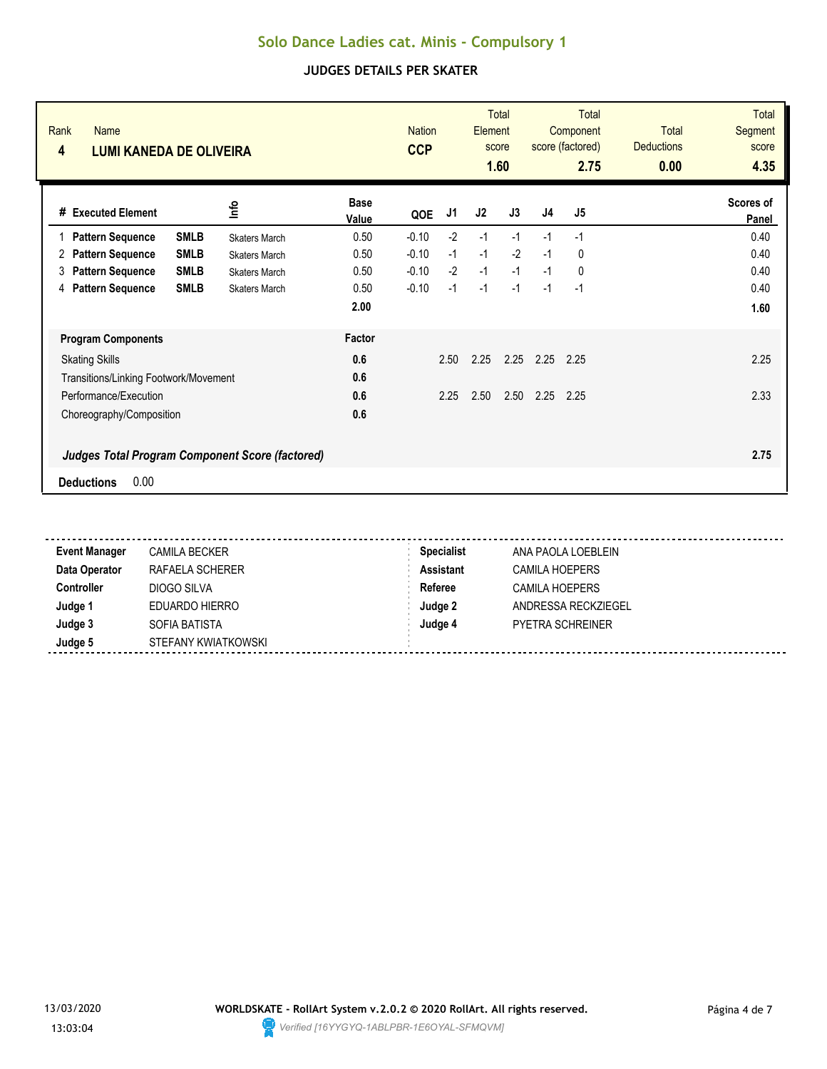| Rank<br><b>Name</b><br>4<br><b>LUMI KANEDA DE OLIVEIRA</b> |                      |                      | <b>Nation</b><br><b>CCP</b> |      | <b>Element</b> | <b>Total</b><br>score<br>1.60 |                | <b>Total</b><br>Component<br>score (factored)<br>2.75 | <b>Total</b><br><b>Deductions</b><br>0.00 | <b>Total</b><br><b>Segment</b><br>score<br>4.35 |
|------------------------------------------------------------|----------------------|----------------------|-----------------------------|------|----------------|-------------------------------|----------------|-------------------------------------------------------|-------------------------------------------|-------------------------------------------------|
| #<br><b>Executed Element</b>                               | lnfo                 | <b>Base</b><br>Value | QOE                         | J1   | J2             | J3                            | J <sub>4</sub> | J5                                                    |                                           | Scores of<br>Panel                              |
| <b>SMLB</b><br><b>Pattern Sequence</b><br>1                | <b>Skaters March</b> | 0.50                 | $-0.10$                     | $-2$ | $-1$           | $-1$                          | $-1$           | $-1$                                                  |                                           | 0.40                                            |
| <b>SMLB</b><br><b>Pattern Sequence</b><br>2                | <b>Skaters March</b> | 0.50                 | $-0.10$                     | $-1$ | $-1$           | $-2$                          | $-1$           | 0                                                     |                                           | 0.40                                            |
| <b>SMLB</b><br><b>Pattern Sequence</b><br>3                | <b>Skaters March</b> | 0.50                 | $-0.10$                     | $-2$ | $-1$           | $-1$                          | $-1$           | 0                                                     |                                           | 0.40                                            |
| <b>SMLB</b><br><b>Pattern Sequence</b><br>4                | <b>Skaters March</b> | 0.50                 | $-0.10$                     | $-1$ | $-1$           | $-1$                          | $-1$           | $-1$                                                  |                                           | 0.40                                            |
|                                                            |                      | 2.00                 |                             |      |                |                               |                |                                                       |                                           | 1.60                                            |
| <b>Program Components</b>                                  |                      | Factor               |                             |      |                |                               |                |                                                       |                                           |                                                 |
| <b>Skating Skills</b>                                      |                      | 0.6                  |                             | 2.50 | 2.25           | 2.25                          | 2.25           | 2.25                                                  |                                           | 2.25                                            |
| Transitions/Linking Footwork/Movement                      |                      | 0.6                  |                             |      |                |                               |                |                                                       |                                           |                                                 |
| Performance/Execution                                      |                      | 0.6                  |                             | 2.25 | 2.50           | 2.50                          | 2.25           | 2.25                                                  |                                           | 2.33                                            |
| Choreography/Composition                                   |                      | 0.6                  |                             |      |                |                               |                |                                                       |                                           |                                                 |
| <b>Judges Total Program Component Score (factored)</b>     |                      |                      |                             |      |                |                               |                |                                                       |                                           | 2.75                                            |
| 0.00<br><b>Deductions</b>                                  |                      |                      |                             |      |                |                               |                |                                                       |                                           |                                                 |

| <b>Event Manager</b> | <b>CAMILA BECKER</b> | <b>Specialist</b> | ANA PAOLA LOEBLEIN      |
|----------------------|----------------------|-------------------|-------------------------|
| Data Operator        | RAFAELA SCHERER      | <b>Assistant</b>  | CAMILA HOEPERS          |
| <b>Controller</b>    | DIOGO SILVA          | Referee           | CAMILA HOEPERS          |
| Judge 1              | EDUARDO HIERRO       | Judge 2           | ANDRESSA RECKZIEGEL     |
| Judge 3              | SOFIA BATISTA        | Judge 4           | <b>PYETRA SCHREINER</b> |
| Judge 5              | STEFANY KWIATKOWSKI  |                   |                         |

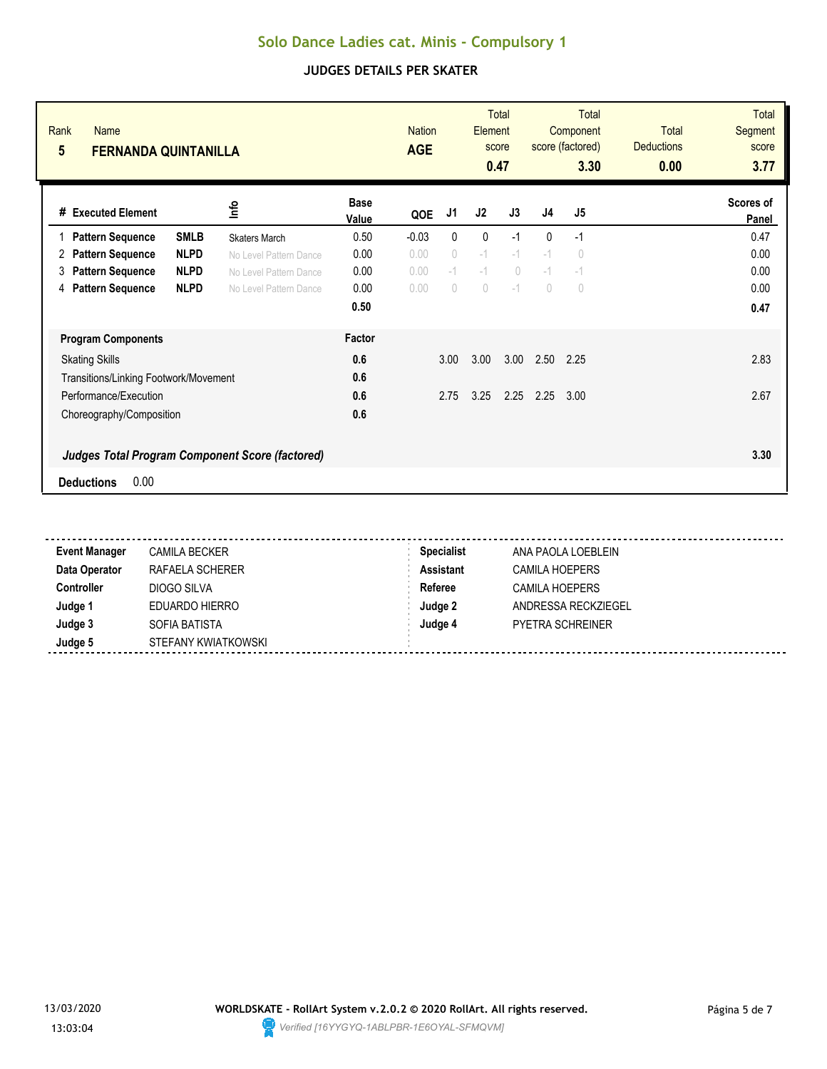| Rank<br><b>Name</b><br>5<br><b>FERNANDA QUINTANILLA</b> |                                | <b>Nation</b><br><b>AGE</b> |            | Element                          | <b>Total</b><br>score<br>0.47 |                | Total<br>Component<br>score (factored)<br>3.30 | <b>Total</b><br><b>Deductions</b><br>0.00 | <b>Total</b><br>Segment<br>score<br>3.77 |
|---------------------------------------------------------|--------------------------------|-----------------------------|------------|----------------------------------|-------------------------------|----------------|------------------------------------------------|-------------------------------------------|------------------------------------------|
| lnfo<br>#<br><b>Executed Element</b>                    | <b>Base</b><br>Value           | QOE                         | J1         | J2                               | J3                            | J <sub>4</sub> | J <sub>5</sub>                                 |                                           | Scores of<br>Panel                       |
| <b>SMLB</b><br><b>Pattern Sequence</b>                  | 0.50<br><b>Skaters March</b>   | $-0.03$                     | 0          | 0                                | $-1$                          | 0              | $-1$                                           |                                           | 0.47                                     |
| <b>NLPD</b><br><b>Pattern Sequence</b><br>2             | 0.00<br>No Level Pattern Dance | 0.00                        | 0          | $-1$                             | $-1$                          | $-1$           | $\theta$                                       |                                           | 0.00                                     |
| <b>NLPD</b><br><b>Pattern Sequence</b><br>3             | 0.00<br>No Level Pattern Dance | 0.00                        | $-1$       | $-1$                             | $\bigcap$                     | $-1$           | $-1$                                           |                                           | 0.00                                     |
| <b>Pattern Sequence</b><br><b>NLPD</b><br>4             | 0.00<br>No Level Pattern Dance | 0.00                        | $\bigcirc$ | $\begin{array}{c} \n\end{array}$ | $-1$                          | $\bigcap$      | $\begin{array}{c} \n\end{array}$               |                                           | 0.00                                     |
|                                                         | 0.50                           |                             |            |                                  |                               |                |                                                |                                           | 0.47                                     |
| <b>Program Components</b>                               | Factor                         |                             |            |                                  |                               |                |                                                |                                           |                                          |
| <b>Skating Skills</b>                                   | 0.6                            |                             | 3.00       | 3.00                             | 3.00                          | 2.50           | 2.25                                           |                                           | 2.83                                     |
| Transitions/Linking Footwork/Movement                   | 0.6                            |                             |            |                                  |                               |                |                                                |                                           |                                          |
| Performance/Execution                                   | 0.6                            |                             | 2.75       | 3.25                             | 2.25                          | 2.25           | 3.00                                           |                                           | 2.67                                     |
| Choreography/Composition                                | 0.6                            |                             |            |                                  |                               |                |                                                |                                           |                                          |
| <b>Judges Total Program Component Score (factored)</b>  |                                |                             |            |                                  |                               |                |                                                |                                           | 3.30                                     |
| 0.00<br><b>Deductions</b>                               |                                |                             |            |                                  |                               |                |                                                |                                           |                                          |

| <b>Event Manager</b> | CAMILA BECKER       | <b>Specialist</b> | ANA PAOLA LOEBLEIN      |
|----------------------|---------------------|-------------------|-------------------------|
| Data Operator        | RAFAELA SCHERER     | <b>Assistant</b>  | CAMILA HOEPERS          |
| <b>Controller</b>    | DIOGO SILVA         | Referee           | <b>CAMILA HOEPERS</b>   |
| Judge 1              | EDUARDO HIERRO      | Judge 2           | ANDRESSA RECKZIEGEL     |
| Judge 3              | SOFIA BATISTA       | Judge 4           | <b>PYETRA SCHREINER</b> |
| Judge 5              | STEFANY KWIATKOWSKI |                   |                         |

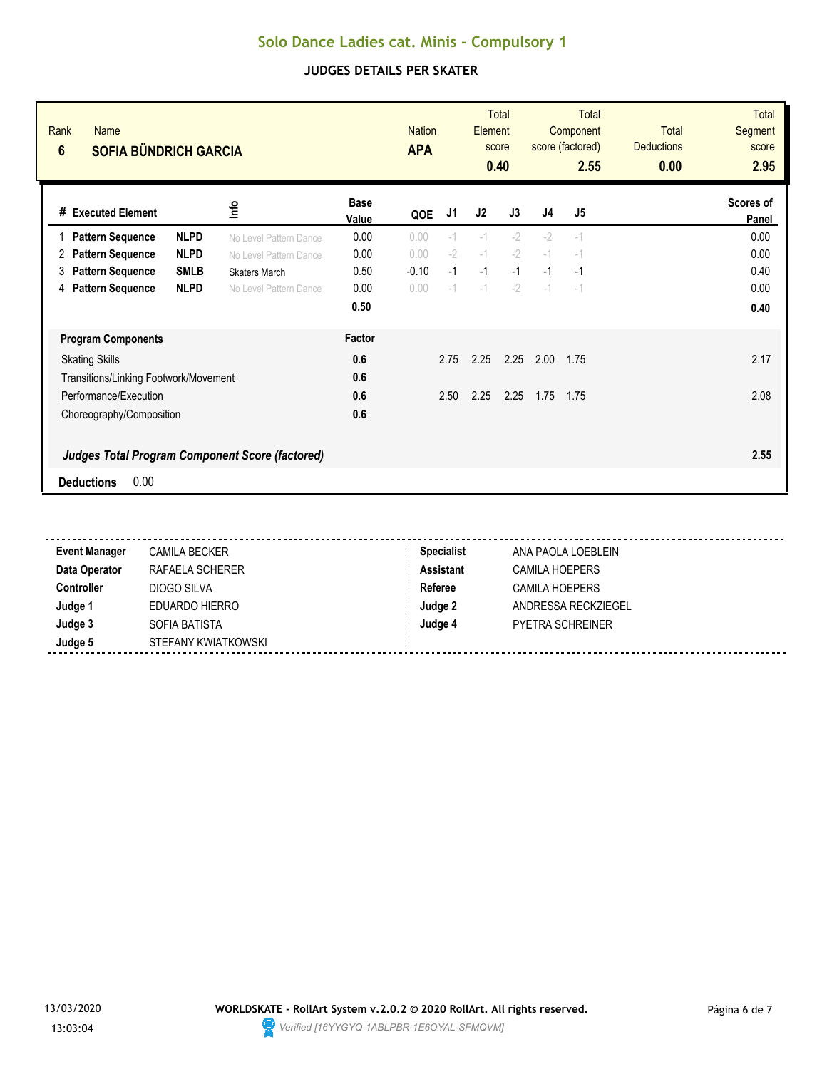| Rank<br><b>Name</b><br>$6\phantom{1}$<br><b>SOFIA BÜNDRICH GARCIA</b> |                        |                      | <b>Nation</b><br><b>APA</b> |      | Element | <b>Total</b><br>score<br>0.40 |      | Total<br>Component<br>score (factored)<br>2.55 | <b>Total</b><br><b>Deductions</b><br>0.00 | <b>Total</b><br>Segment<br>score<br>2.95 |
|-----------------------------------------------------------------------|------------------------|----------------------|-----------------------------|------|---------|-------------------------------|------|------------------------------------------------|-------------------------------------------|------------------------------------------|
| # Executed Element                                                    | lnfo                   | <b>Base</b><br>Value | QOE                         | J1   | J2      | J3                            | J4   | J <sub>5</sub>                                 |                                           | Scores of<br>Panel                       |
| <b>NLPD</b><br><b>Pattern Sequence</b>                                | No Level Pattern Dance | 0.00                 | 0.00                        | $-1$ | $-1$    | $-2$                          | $-2$ | $-1$                                           |                                           | 0.00                                     |
| <b>NLPD</b><br><b>Pattern Sequence</b><br>2                           | No Level Pattern Dance | 0.00                 | 0.00                        | $-2$ | $-1$    | $-2$                          | $-1$ | $-1$                                           |                                           | 0.00                                     |
| <b>SMLB</b><br><b>Pattern Sequence</b><br>3                           | <b>Skaters March</b>   | 0.50                 | $-0.10$                     | $-1$ | $-1$    | $-1$                          | $-1$ | $-1$                                           |                                           | 0.40                                     |
| <b>NLPD</b><br><b>Pattern Sequence</b><br>4                           | No Level Pattern Dance | 0.00                 | 0.00                        | $-1$ | $-1$    | $-2$                          | $-1$ | $-1$                                           |                                           | 0.00                                     |
|                                                                       |                        | 0.50                 |                             |      |         |                               |      |                                                |                                           | 0.40                                     |
| <b>Program Components</b>                                             |                        | Factor               |                             |      |         |                               |      |                                                |                                           |                                          |
| <b>Skating Skills</b>                                                 |                        | 0.6                  |                             | 2.75 | 2.25    | 2.25                          | 2.00 | 1.75                                           |                                           | 2.17                                     |
| Transitions/Linking Footwork/Movement                                 |                        | 0.6                  |                             |      |         |                               |      |                                                |                                           |                                          |
| Performance/Execution                                                 |                        | 0.6                  |                             | 2.50 | 2.25    | 2.25                          | 1.75 | 1.75                                           |                                           | 2.08                                     |
| Choreography/Composition                                              |                        | 0.6                  |                             |      |         |                               |      |                                                |                                           |                                          |
| <b>Judges Total Program Component Score (factored)</b>                |                        |                      |                             |      |         |                               |      |                                                |                                           | 2.55                                     |
| 0.00<br><b>Deductions</b>                                             |                        |                      |                             |      |         |                               |      |                                                |                                           |                                          |

| <b>Event Manager</b> | <b>CAMILA BECKER</b> | <b>Specialist</b> | ANA PAOLA LOEBLEIN      |
|----------------------|----------------------|-------------------|-------------------------|
| Data Operator        | RAFAELA SCHERER      | <b>Assistant</b>  | <b>CAMILA HOEPERS</b>   |
| <b>Controller</b>    | DIOGO SILVA          | Referee           | CAMILA HOEPERS          |
| Judge 1              | EDUARDO HIERRO       | Judge 2           | ANDRESSA RECKZIEGEL     |
| Judge 3              | SOFIA BATISTA        | Judge 4           | <b>PYETRA SCHREINER</b> |
| Judge 5              | STEFANY KWIATKOWSKI  |                   |                         |